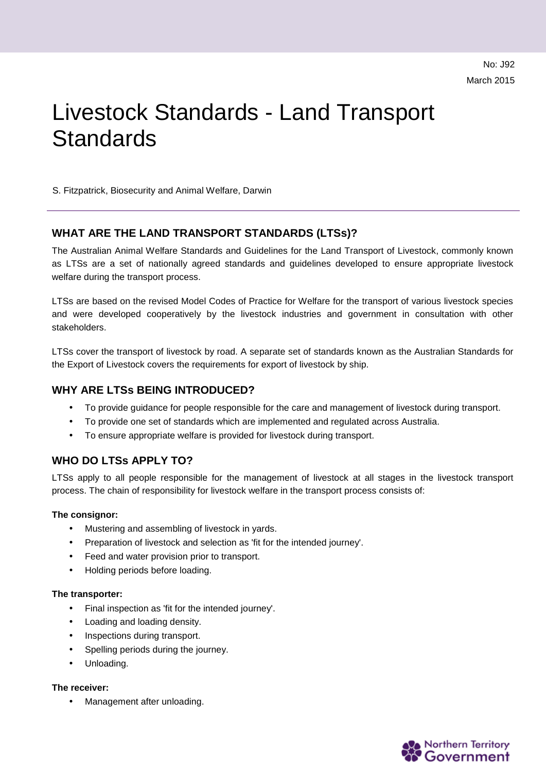# Livestock Standards - Land Transport **Standards**

S. Fitzpatrick, Biosecurity and Animal Welfare, Darwin

## **WHAT ARE THE LAND TRANSPORT STANDARDS (LTSs)?**

The Australian Animal Welfare Standards and Guidelines for the Land Transport of Livestock, commonly known as LTSs are a set of nationally agreed standards and guidelines developed to ensure appropriate livestock welfare during the transport process.

LTSs are based on the revised Model Codes of Practice for Welfare for the transport of various livestock species and were developed cooperatively by the livestock industries and government in consultation with other stakeholders.

LTSs cover the transport of livestock by road. A separate set of standards known as the Australian Standards for the Export of Livestock covers the requirements for export of livestock by ship.

# **WHY ARE LTSs BEING INTRODUCED?**

- To provide guidance for people responsible for the care and management of livestock during transport.
- To provide one set of standards which are implemented and regulated across Australia.
- To ensure appropriate welfare is provided for livestock during transport.

# **WHO DO LTSs APPLY TO?**

LTSs apply to all people responsible for the management of livestock at all stages in the livestock transport process. The chain of responsibility for livestock welfare in the transport process consists of:

## **The consignor:**

- $\mathbf{r}$ Mustering and assembling of livestock in yards.
- Preparation of livestock and selection as 'fit for the intended journey'.
- Feed and water provision prior to transport.
- Holding periods before loading.

## **The transporter:**

- Final inspection as 'fit for the intended journey'.
- Loading and loading density.
- Inspections during transport.
- Spelling periods during the journey.
- Unloading.

## **The receiver:**

Management after unloading.

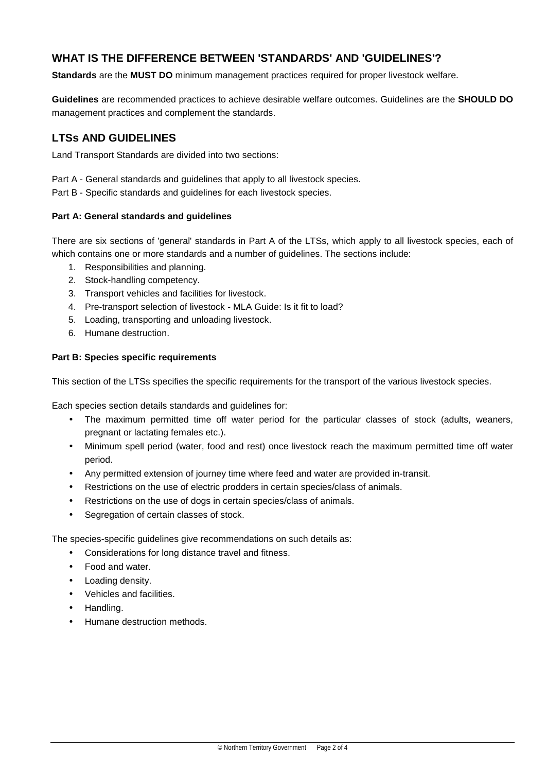# **WHAT IS THE DIFFERENCE BETWEEN 'STANDARDS' AND 'GUIDELINES'?**

**Standards** are the **MUST DO** minimum management practices required for proper livestock welfare.

**Guidelines** are recommended practices to achieve desirable welfare outcomes. Guidelines are the **SHOULD DO** management practices and complement the standards.

# **LTSs AND GUIDELINES**

Land Transport Standards are divided into two sections:

Part A - General standards and guidelines that apply to all livestock species.

Part B - Specific standards and guidelines for each livestock species.

## **Part A: General standards and guidelines**

There are six sections of 'general' standards in Part A of the LTSs, which apply to all livestock species, each of which contains one or more standards and a number of guidelines. The sections include:

- 1. Responsibilities and planning.
- 2. Stock-handling competency.
- 3. Transport vehicles and facilities for livestock.
- 4. Pre-transport selection of livestock MLA Guide: Is it fit to load?
- 5. Loading, transporting and unloading livestock.
- 6. Humane destruction.

## **Part B: Species specific requirements**

This section of the LTSs specifies the specific requirements for the transport of the various livestock species.

Each species section details standards and guidelines for:

- $\mathbb{R}^{\mathbb{Z}}$ The maximum permitted time off water period for the particular classes of stock (adults, weaners, pregnant or lactating females etc.).
- Minimum spell period (water, food and rest) once livestock reach the maximum permitted time off water period.
- Any permitted extension of journey time where feed and water are provided in-transit.
- Restrictions on the use of electric prodders in certain species/class of animals.
- Restrictions on the use of dogs in certain species/class of animals.  $\mathbf{r}$
- Segregation of certain classes of stock.

The species-specific guidelines give recommendations on such details as:

- Considerations for long distance travel and fitness.  $\mathbf{r}$
- Food and water.
- Loading density.
- Vehicles and facilities.
- Handling.
- Humane destruction methods.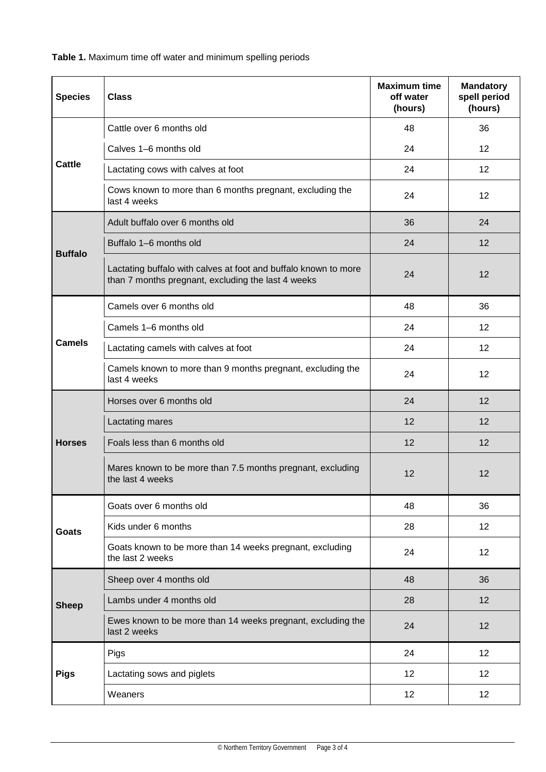**Table 1.** Maximum time off water and minimum spelling periods

| <b>Species</b> | <b>Class</b>                                                                                                          | <b>Maximum time</b><br>off water<br>(hours) | <b>Mandatory</b><br>spell period<br>(hours) |
|----------------|-----------------------------------------------------------------------------------------------------------------------|---------------------------------------------|---------------------------------------------|
| Cattle         | Cattle over 6 months old                                                                                              | 48                                          | 36                                          |
|                | Calves 1-6 months old                                                                                                 | 24                                          | 12                                          |
|                | Lactating cows with calves at foot                                                                                    | 24                                          | 12                                          |
|                | Cows known to more than 6 months pregnant, excluding the<br>last 4 weeks                                              | 24                                          | 12                                          |
|                | Adult buffalo over 6 months old                                                                                       | 36                                          | 24                                          |
| <b>Buffalo</b> | Buffalo 1-6 months old                                                                                                | 24                                          | 12                                          |
|                | Lactating buffalo with calves at foot and buffalo known to more<br>than 7 months pregnant, excluding the last 4 weeks | 24                                          | 12                                          |
|                | Camels over 6 months old                                                                                              | 48                                          | 36                                          |
| <b>Camels</b>  | Camels 1-6 months old                                                                                                 | 24                                          | 12                                          |
|                | Lactating camels with calves at foot                                                                                  | 24                                          | 12                                          |
|                | Camels known to more than 9 months pregnant, excluding the<br>last 4 weeks                                            | 24                                          | 12                                          |
|                | Horses over 6 months old                                                                                              | 24                                          | 12                                          |
|                | Lactating mares                                                                                                       | 12                                          | 12                                          |
| <b>Horses</b>  | Foals less than 6 months old                                                                                          | 12                                          | 12                                          |
|                | Mares known to be more than 7.5 months pregnant, excluding<br>the last 4 weeks                                        | 12                                          | 12                                          |
| <b>Goats</b>   | Goats over 6 months old                                                                                               | 48                                          | 36                                          |
|                | Kids under 6 months                                                                                                   | 28                                          | 12                                          |
|                | Goats known to be more than 14 weeks pregnant, excluding<br>the last 2 weeks                                          | 24                                          | 12 <sub>2</sub>                             |
| <b>Sheep</b>   | Sheep over 4 months old                                                                                               | 48                                          | 36                                          |
|                | Lambs under 4 months old                                                                                              | 28                                          | 12                                          |
|                | Ewes known to be more than 14 weeks pregnant, excluding the<br>last 2 weeks                                           | 24                                          | 12                                          |
| <b>Pigs</b>    | Pigs                                                                                                                  | 24                                          | 12                                          |
|                | Lactating sows and piglets                                                                                            | 12                                          | 12                                          |
|                | Weaners                                                                                                               | 12                                          | 12                                          |